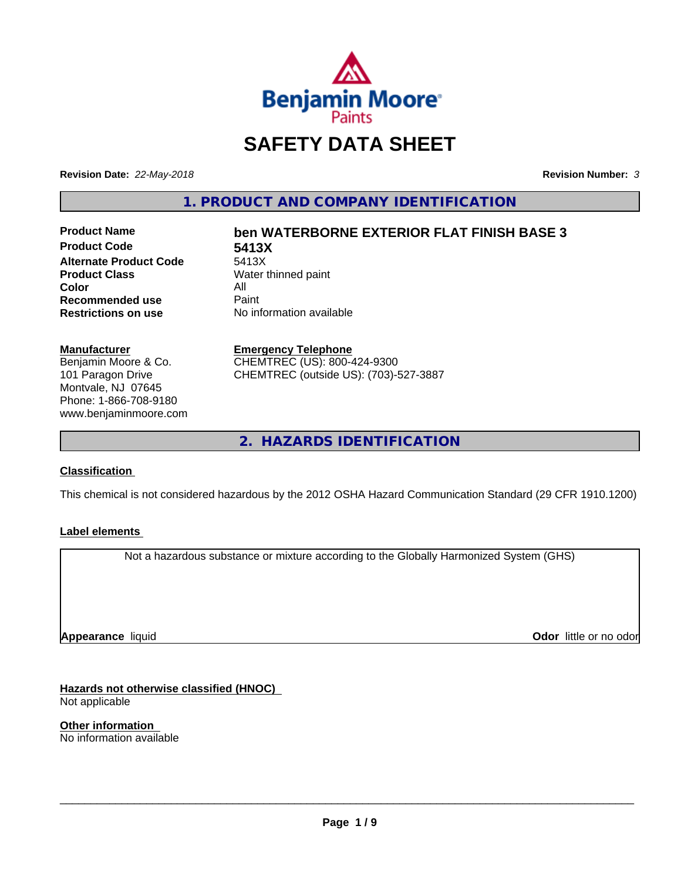

# **SAFETY DATA SHEET**

**Revision Date:** *22-May-2018* **Revision Number:** *3*

**1. PRODUCT AND COMPANY IDENTIFICATION**

**Product Code 5413X Alternate Product Code**<br>Product Class **Color** All<br> **Recommended use** Paint **Recommended use**<br>Restrictions on use

## **Product Name ben WATERBORNE EXTERIOR FLAT FINISH BASE 3**

**Water thinned paint No information available** 

#### **Manufacturer**

Benjamin Moore & Co. 101 Paragon Drive Montvale, NJ 07645 Phone: 1-866-708-9180 www.benjaminmoore.com

## **Emergency Telephone**

CHEMTREC (US): 800-424-9300 CHEMTREC (outside US): (703)-527-3887

**2. HAZARDS IDENTIFICATION**

## **Classification**

This chemical is not considered hazardous by the 2012 OSHA Hazard Communication Standard (29 CFR 1910.1200)

## **Label elements**

Not a hazardous substance or mixture according to the Globally Harmonized System (GHS)

**Appearance** liquid

**Odor** little or no odor

**Hazards not otherwise classified (HNOC)** Not applicable

**Other information** No information available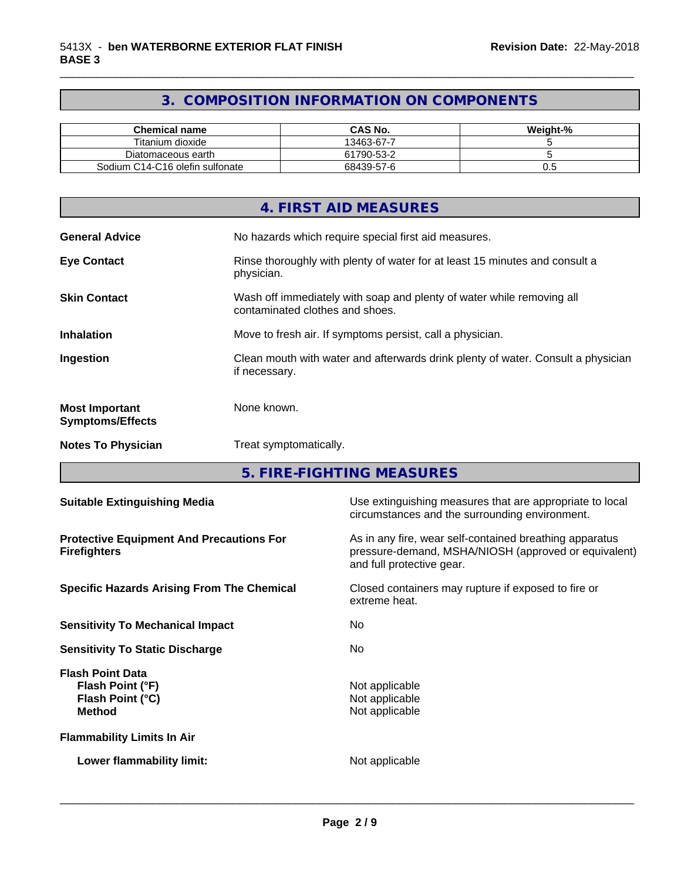## **3. COMPOSITION INFORMATION ON COMPONENTS**

\_\_\_\_\_\_\_\_\_\_\_\_\_\_\_\_\_\_\_\_\_\_\_\_\_\_\_\_\_\_\_\_\_\_\_\_\_\_\_\_\_\_\_\_\_\_\_\_\_\_\_\_\_\_\_\_\_\_\_\_\_\_\_\_\_\_\_\_\_\_\_\_\_\_\_\_\_\_\_\_\_\_\_\_\_\_\_\_\_\_\_\_\_

| Chemical name                   | CAS No.    | Weight-% |
|---------------------------------|------------|----------|
| Titanium dioxide                | 13463-67-7 |          |
| Diatomaceous earth              | 61790-53-2 |          |
| Sodium C14-C16 olefin sulfonate | 68439-57-6 | v.J      |

|                                                  | 4. FIRST AID MEASURES                                                                                    |
|--------------------------------------------------|----------------------------------------------------------------------------------------------------------|
| <b>General Advice</b>                            | No hazards which require special first aid measures.                                                     |
| <b>Eye Contact</b>                               | Rinse thoroughly with plenty of water for at least 15 minutes and consult a<br>physician.                |
| <b>Skin Contact</b>                              | Wash off immediately with soap and plenty of water while removing all<br>contaminated clothes and shoes. |
| <b>Inhalation</b>                                | Move to fresh air. If symptoms persist, call a physician.                                                |
| Ingestion                                        | Clean mouth with water and afterwards drink plenty of water. Consult a physician<br>if necessary.        |
| <b>Most Important</b><br><b>Symptoms/Effects</b> | None known.                                                                                              |
| <b>Notes To Physician</b>                        | Treat symptomatically.                                                                                   |

**5. FIRE-FIGHTING MEASURES**

| <b>Suitable Extinguishing Media</b>                                              | Use extinguishing measures that are appropriate to local<br>circumstances and the surrounding environment.                                   |  |  |
|----------------------------------------------------------------------------------|----------------------------------------------------------------------------------------------------------------------------------------------|--|--|
| <b>Protective Equipment And Precautions For</b><br><b>Firefighters</b>           | As in any fire, wear self-contained breathing apparatus<br>pressure-demand, MSHA/NIOSH (approved or equivalent)<br>and full protective gear. |  |  |
| <b>Specific Hazards Arising From The Chemical</b>                                | Closed containers may rupture if exposed to fire or<br>extreme heat.                                                                         |  |  |
| <b>Sensitivity To Mechanical Impact</b>                                          | No.                                                                                                                                          |  |  |
| <b>Sensitivity To Static Discharge</b>                                           | No.                                                                                                                                          |  |  |
| <b>Flash Point Data</b><br>Flash Point (°F)<br>Flash Point (°C)<br><b>Method</b> | Not applicable<br>Not applicable<br>Not applicable                                                                                           |  |  |
| <b>Flammability Limits In Air</b>                                                |                                                                                                                                              |  |  |
| Lower flammability limit:                                                        | Not applicable                                                                                                                               |  |  |
|                                                                                  |                                                                                                                                              |  |  |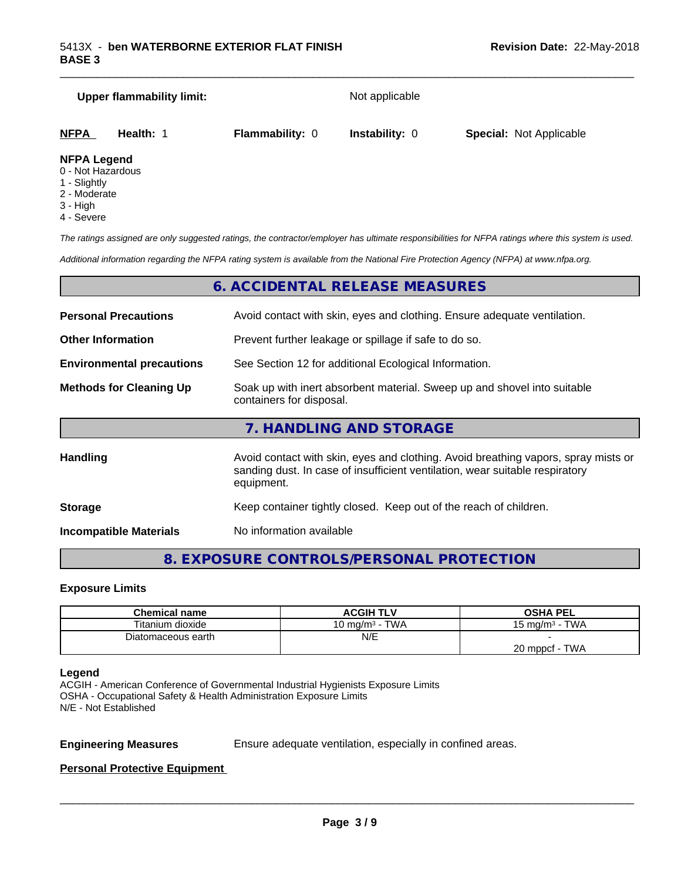| <b>Upper flammability limit:</b>         |           |                        | Not applicable        |                                |  |  |
|------------------------------------------|-----------|------------------------|-----------------------|--------------------------------|--|--|
| NFPA                                     | Health: 1 | <b>Flammability: 0</b> | <b>Instability: 0</b> | <b>Special: Not Applicable</b> |  |  |
| <b>NFPA Legend</b><br>0 - Not Hazardous. |           |                        |                       |                                |  |  |

\_\_\_\_\_\_\_\_\_\_\_\_\_\_\_\_\_\_\_\_\_\_\_\_\_\_\_\_\_\_\_\_\_\_\_\_\_\_\_\_\_\_\_\_\_\_\_\_\_\_\_\_\_\_\_\_\_\_\_\_\_\_\_\_\_\_\_\_\_\_\_\_\_\_\_\_\_\_\_\_\_\_\_\_\_\_\_\_\_\_\_\_\_

- 0 Not Hazardous
- 1 Slightly
- 2 Moderate
- 3 High
- 4 Severe

*The ratings assigned are only suggested ratings, the contractor/employer has ultimate responsibilities for NFPA ratings where this system is used.*

*Additional information regarding the NFPA rating system is available from the National Fire Protection Agency (NFPA) at www.nfpa.org.*

## **6. ACCIDENTAL RELEASE MEASURES**

| <b>Personal Precautions</b>      | Avoid contact with skin, eyes and clothing. Ensure adequate ventilation.                                                                                                         |  |  |
|----------------------------------|----------------------------------------------------------------------------------------------------------------------------------------------------------------------------------|--|--|
| <b>Other Information</b>         | Prevent further leakage or spillage if safe to do so.                                                                                                                            |  |  |
| <b>Environmental precautions</b> | See Section 12 for additional Ecological Information.                                                                                                                            |  |  |
| <b>Methods for Cleaning Up</b>   | Soak up with inert absorbent material. Sweep up and shovel into suitable<br>containers for disposal.                                                                             |  |  |
|                                  | 7. HANDLING AND STORAGE                                                                                                                                                          |  |  |
| <b>Handling</b>                  | Avoid contact with skin, eyes and clothing. Avoid breathing vapors, spray mists or<br>sanding dust. In case of insufficient ventilation, wear suitable respiratory<br>equipment. |  |  |
| <b>Storage</b>                   | Keep container tightly closed. Keep out of the reach of children.                                                                                                                |  |  |

**Incompatible Materials** No information available

**8. EXPOSURE CONTROLS/PERSONAL PROTECTION**

#### **Exposure Limits**

| <b>Chemical name</b> | ACGIH TLV         | OSHA PEL              |
|----------------------|-------------------|-----------------------|
| Titanium dioxide     | 10 mg/m $3$ - TWA | 15 mg/m $3$ - TWA     |
| Diatomaceous earth   | N/E               |                       |
|                      |                   | ∙ TWA<br>20 mppcf - T |

#### **Legend**

ACGIH - American Conference of Governmental Industrial Hygienists Exposure Limits OSHA - Occupational Safety & Health Administration Exposure Limits N/E - Not Established

**Engineering Measures** Ensure adequate ventilation, especially in confined areas.

 $\overline{\phantom{a}}$  ,  $\overline{\phantom{a}}$  ,  $\overline{\phantom{a}}$  ,  $\overline{\phantom{a}}$  ,  $\overline{\phantom{a}}$  ,  $\overline{\phantom{a}}$  ,  $\overline{\phantom{a}}$  ,  $\overline{\phantom{a}}$  ,  $\overline{\phantom{a}}$  ,  $\overline{\phantom{a}}$  ,  $\overline{\phantom{a}}$  ,  $\overline{\phantom{a}}$  ,  $\overline{\phantom{a}}$  ,  $\overline{\phantom{a}}$  ,  $\overline{\phantom{a}}$  ,  $\overline{\phantom{a}}$ 

**Personal Protective Equipment**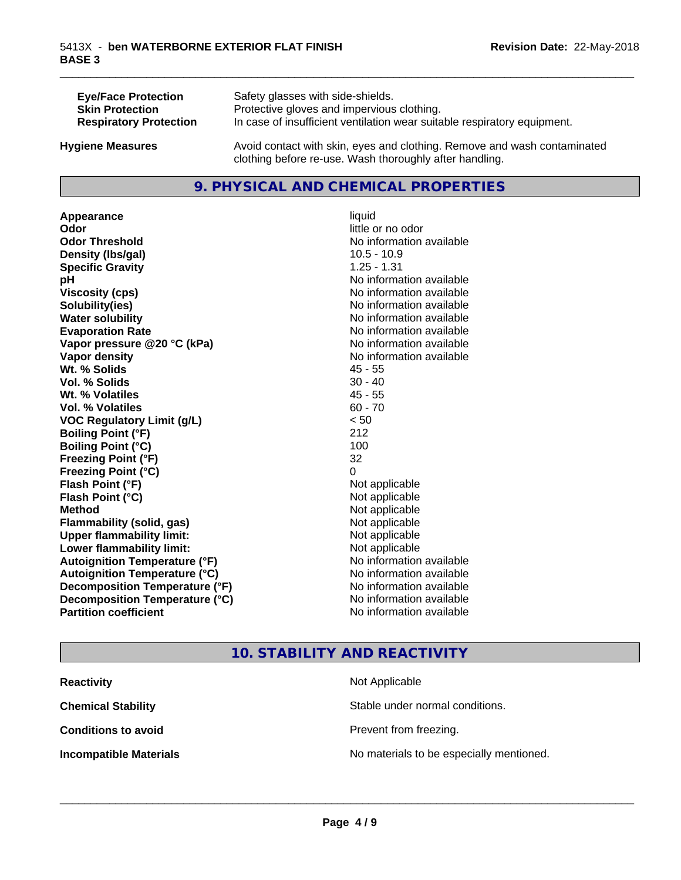| <b>Eye/Face Protection</b>    | Safety glasses with side-shields.                                        |
|-------------------------------|--------------------------------------------------------------------------|
| <b>Skin Protection</b>        | Protective gloves and impervious clothing.                               |
| <b>Respiratory Protection</b> | In case of insufficient ventilation wear suitable respiratory equipment. |
| <b>Hygiene Measures</b>       | Avoid contact with skin, eyes and clothing. Remove and wash contaminated |

## **9. PHYSICAL AND CHEMICAL PROPERTIES**

clothing before re-use. Wash thoroughly after handling.

**Appearance** liquid **Odor** little or no odor **Odor Threshold No information available No information available Density (Ibs/gal)** 10.5 - 10.9 **Specific Gravity** 1.25 - 1.31 **pH** No information available **Viscosity (cps)** No information available **Solubility(ies)** No information available **Water solubility Water solubility Water solubility Water solubility Water solubility Water solution Evaporation Rate No information available No information available Vapor pressure @20 °C (kPa)** No information available **Vapor density No information available Wt. % Solids** 45 - 55 **Vol. % Solids** 30 - 40 **Wt. % Volatiles** 45 - 55 **Vol. % Volatiles** 60 - 70 **VOC Regulatory Limit (g/L)** < 50 **Boiling Point (°F)** 212 **Boiling Point**  $(^{\circ}C)$  100 **Freezing Point (°F)** 32 **Freezing Point (°C)** 0 **Flash Point (°F)**<br> **Flash Point (°C)**<br> **Flash Point (°C)**<br> **Point (°C) Flash Point (°C) Method** Not applicable **Flammability (solid, gas)** Not applicable **Upper flammability limit:** Not applicable **Lower flammability limit:** Not applicable **Autoignition Temperature (°F)** No information available **Autoignition Temperature (°C)** No information available **Decomposition Temperature (°F)**<br> **Decomposition Temperature (°C)**<br>
No information available **Decomposition Temperature (°C)**<br>Partition coefficient

**No information available** 

\_\_\_\_\_\_\_\_\_\_\_\_\_\_\_\_\_\_\_\_\_\_\_\_\_\_\_\_\_\_\_\_\_\_\_\_\_\_\_\_\_\_\_\_\_\_\_\_\_\_\_\_\_\_\_\_\_\_\_\_\_\_\_\_\_\_\_\_\_\_\_\_\_\_\_\_\_\_\_\_\_\_\_\_\_\_\_\_\_\_\_\_\_

## **10. STABILITY AND REACTIVITY**

| <b>Reactivity</b>             | Not Applicable                           |
|-------------------------------|------------------------------------------|
| <b>Chemical Stability</b>     | Stable under normal conditions.          |
| <b>Conditions to avoid</b>    | Prevent from freezing.                   |
| <b>Incompatible Materials</b> | No materials to be especially mentioned. |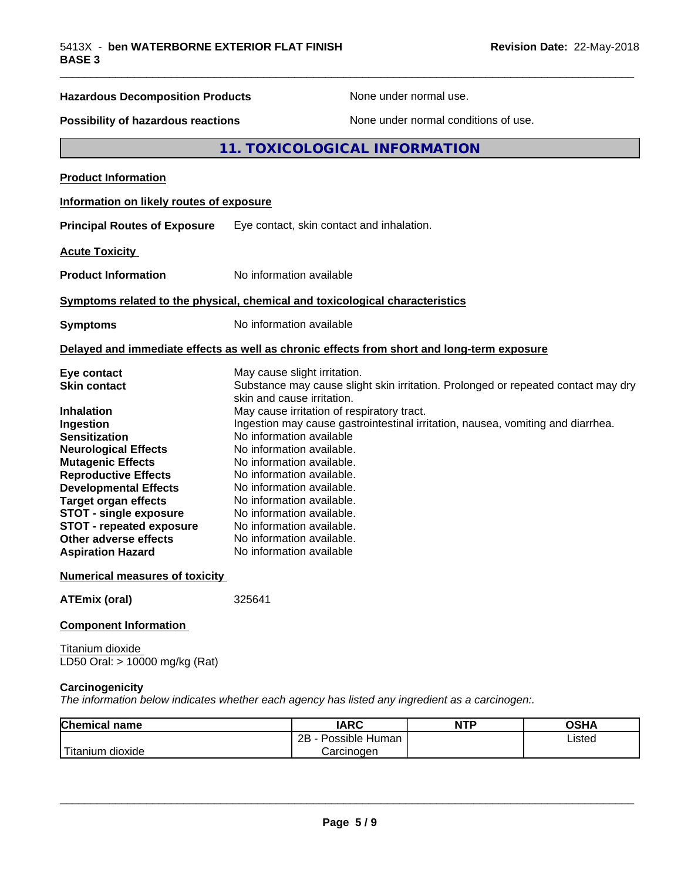| <b>Hazardous Decomposition Products</b>                                                                                                                                                                                                                                                                                                                                        | None under normal use.                                                                                                                                                                                                                                                                                                                                                                                                                                                                                                                                                           |
|--------------------------------------------------------------------------------------------------------------------------------------------------------------------------------------------------------------------------------------------------------------------------------------------------------------------------------------------------------------------------------|----------------------------------------------------------------------------------------------------------------------------------------------------------------------------------------------------------------------------------------------------------------------------------------------------------------------------------------------------------------------------------------------------------------------------------------------------------------------------------------------------------------------------------------------------------------------------------|
| Possibility of hazardous reactions                                                                                                                                                                                                                                                                                                                                             | None under normal conditions of use.                                                                                                                                                                                                                                                                                                                                                                                                                                                                                                                                             |
|                                                                                                                                                                                                                                                                                                                                                                                | 11. TOXICOLOGICAL INFORMATION                                                                                                                                                                                                                                                                                                                                                                                                                                                                                                                                                    |
| <b>Product Information</b>                                                                                                                                                                                                                                                                                                                                                     |                                                                                                                                                                                                                                                                                                                                                                                                                                                                                                                                                                                  |
| Information on likely routes of exposure                                                                                                                                                                                                                                                                                                                                       |                                                                                                                                                                                                                                                                                                                                                                                                                                                                                                                                                                                  |
| <b>Principal Routes of Exposure</b>                                                                                                                                                                                                                                                                                                                                            | Eye contact, skin contact and inhalation.                                                                                                                                                                                                                                                                                                                                                                                                                                                                                                                                        |
| <b>Acute Toxicity</b>                                                                                                                                                                                                                                                                                                                                                          |                                                                                                                                                                                                                                                                                                                                                                                                                                                                                                                                                                                  |
| <b>Product Information</b>                                                                                                                                                                                                                                                                                                                                                     | No information available                                                                                                                                                                                                                                                                                                                                                                                                                                                                                                                                                         |
|                                                                                                                                                                                                                                                                                                                                                                                | Symptoms related to the physical, chemical and toxicological characteristics                                                                                                                                                                                                                                                                                                                                                                                                                                                                                                     |
| <b>Symptoms</b>                                                                                                                                                                                                                                                                                                                                                                | No information available                                                                                                                                                                                                                                                                                                                                                                                                                                                                                                                                                         |
|                                                                                                                                                                                                                                                                                                                                                                                | Delayed and immediate effects as well as chronic effects from short and long-term exposure                                                                                                                                                                                                                                                                                                                                                                                                                                                                                       |
| Eye contact<br><b>Skin contact</b><br><b>Inhalation</b><br>Ingestion<br><b>Sensitization</b><br><b>Neurological Effects</b><br><b>Mutagenic Effects</b><br><b>Reproductive Effects</b><br><b>Developmental Effects</b><br><b>Target organ effects</b><br><b>STOT - single exposure</b><br><b>STOT - repeated exposure</b><br>Other adverse effects<br><b>Aspiration Hazard</b> | May cause slight irritation.<br>Substance may cause slight skin irritation. Prolonged or repeated contact may dry<br>skin and cause irritation.<br>May cause irritation of respiratory tract.<br>Ingestion may cause gastrointestinal irritation, nausea, vomiting and diarrhea.<br>No information available<br>No information available.<br>No information available.<br>No information available.<br>No information available.<br>No information available.<br>No information available.<br>No information available.<br>No information available.<br>No information available |
| <b>Numerical measures of toxicity</b>                                                                                                                                                                                                                                                                                                                                          |                                                                                                                                                                                                                                                                                                                                                                                                                                                                                                                                                                                  |
| <b>ATEmix (oral)</b>                                                                                                                                                                                                                                                                                                                                                           | 325641                                                                                                                                                                                                                                                                                                                                                                                                                                                                                                                                                                           |
| <b>Component Information</b>                                                                                                                                                                                                                                                                                                                                                   |                                                                                                                                                                                                                                                                                                                                                                                                                                                                                                                                                                                  |

Titanium dioxide LD50 Oral: > 10000 mg/kg (Rat)

#### **Carcinogenicity**

*The information below indicateswhether each agency has listed any ingredient as a carcinogen:.*

| <b>Chemical</b><br>name        | <b>IARC</b>                    | <b>NTP</b> | <b>OCUA</b><br>שאט |
|--------------------------------|--------------------------------|------------|--------------------|
|                                | . .<br>2B<br>Human<br>Possible |            | Listed<br>____     |
| .<br>dioxide<br><b>itanium</b> | Carcinogen                     |            |                    |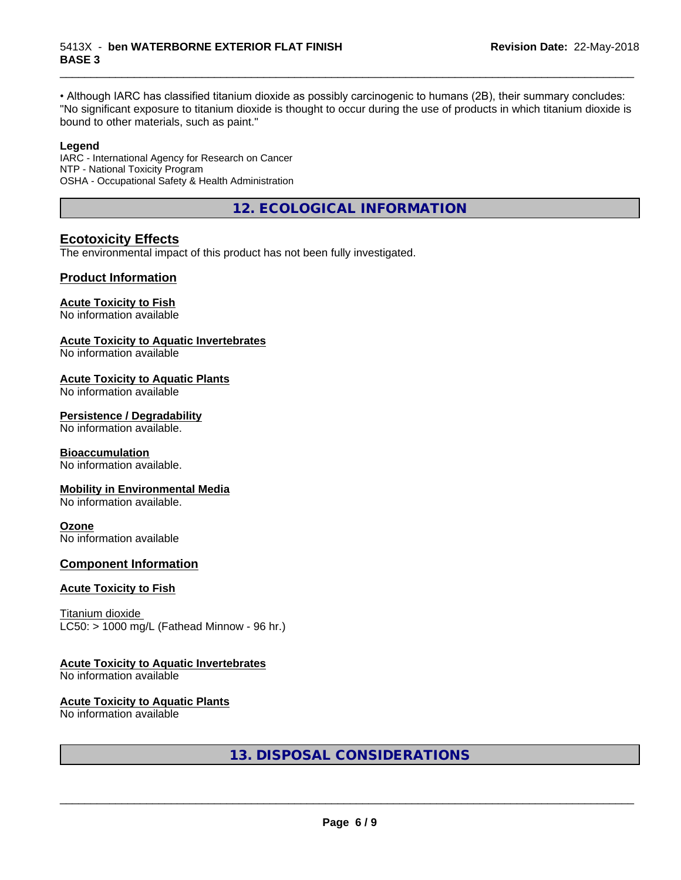• Although IARC has classified titanium dioxide as possibly carcinogenic to humans (2B), their summary concludes: "No significant exposure to titanium dioxide is thought to occur during the use of products in which titanium dioxide is bound to other materials, such as paint."

\_\_\_\_\_\_\_\_\_\_\_\_\_\_\_\_\_\_\_\_\_\_\_\_\_\_\_\_\_\_\_\_\_\_\_\_\_\_\_\_\_\_\_\_\_\_\_\_\_\_\_\_\_\_\_\_\_\_\_\_\_\_\_\_\_\_\_\_\_\_\_\_\_\_\_\_\_\_\_\_\_\_\_\_\_\_\_\_\_\_\_\_\_

#### **Legend**

IARC - International Agency for Research on Cancer NTP - National Toxicity Program OSHA - Occupational Safety & Health Administration

**12. ECOLOGICAL INFORMATION**

## **Ecotoxicity Effects**

The environmental impact of this product has not been fully investigated.

## **Product Information**

#### **Acute Toxicity to Fish**

No information available

#### **Acute Toxicity to Aquatic Invertebrates**

No information available

#### **Acute Toxicity to Aquatic Plants**

No information available

#### **Persistence / Degradability**

No information available.

#### **Bioaccumulation**

No information available.

#### **Mobility in Environmental Media**

No information available.

#### **Ozone**

No information available

## **Component Information**

#### **Acute Toxicity to Fish**

Titanium dioxide  $LC50:$  > 1000 mg/L (Fathead Minnow - 96 hr.)

## **Acute Toxicity to Aquatic Invertebrates**

No information available

#### **Acute Toxicity to Aquatic Plants**

No information available

**13. DISPOSAL CONSIDERATIONS**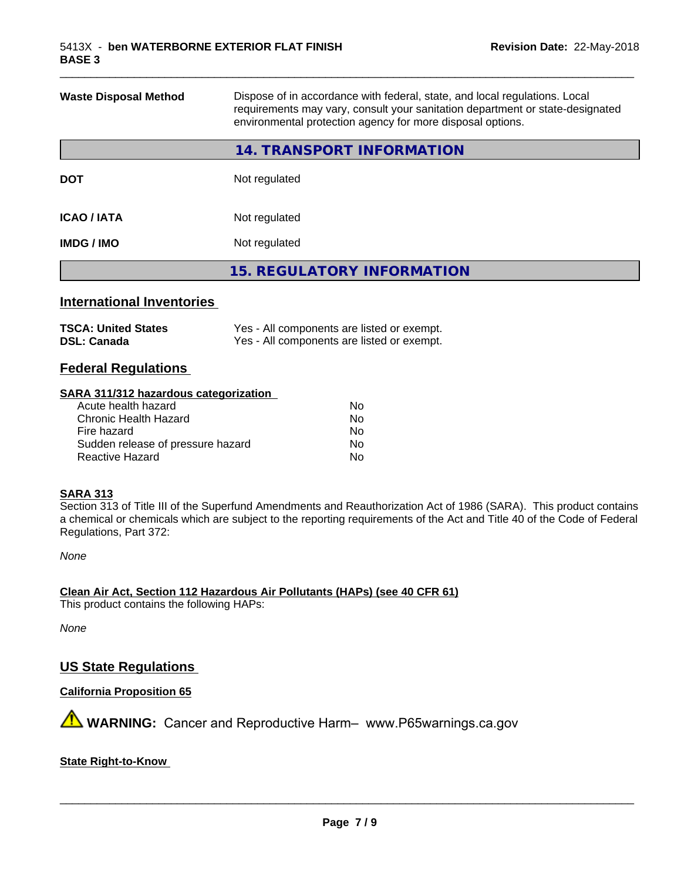| <b>Waste Disposal Method</b> | Dispose of in accordance with federal, state, and local regulations. Local<br>requirements may vary, consult your sanitation department or state-designated<br>environmental protection agency for more disposal options. |
|------------------------------|---------------------------------------------------------------------------------------------------------------------------------------------------------------------------------------------------------------------------|
|                              | 14. TRANSPORT INFORMATION                                                                                                                                                                                                 |
| <b>DOT</b>                   | Not regulated                                                                                                                                                                                                             |
| <b>ICAO / IATA</b>           | Not regulated                                                                                                                                                                                                             |
| <b>IMDG / IMO</b>            | Not regulated                                                                                                                                                                                                             |
|                              | <b>15. REGULATORY INFORMATION</b>                                                                                                                                                                                         |

\_\_\_\_\_\_\_\_\_\_\_\_\_\_\_\_\_\_\_\_\_\_\_\_\_\_\_\_\_\_\_\_\_\_\_\_\_\_\_\_\_\_\_\_\_\_\_\_\_\_\_\_\_\_\_\_\_\_\_\_\_\_\_\_\_\_\_\_\_\_\_\_\_\_\_\_\_\_\_\_\_\_\_\_\_\_\_\_\_\_\_\_\_

## **International Inventories**

| <b>TSCA: United States</b> | Yes - All components are listed or exempt. |
|----------------------------|--------------------------------------------|
| <b>DSL: Canada</b>         | Yes - All components are listed or exempt. |

## **Federal Regulations**

#### **SARA 311/312 hazardous categorization**

| Acute health hazard               | No. |
|-----------------------------------|-----|
| Chronic Health Hazard             | Nο  |
| Fire hazard                       | No. |
| Sudden release of pressure hazard | Nο  |
| Reactive Hazard                   | Nο  |

#### **SARA 313**

Section 313 of Title III of the Superfund Amendments and Reauthorization Act of 1986 (SARA). This product contains a chemical or chemicals which are subject to the reporting requirements of the Act and Title 40 of the Code of Federal Regulations, Part 372:

*None*

**Clean Air Act,Section 112 Hazardous Air Pollutants (HAPs) (see 40 CFR 61)**

This product contains the following HAPs:

*None*

## **US State Regulations**

**California Proposition 65**

**AVIMARNING:** Cancer and Reproductive Harm– www.P65warnings.ca.gov

#### **State Right-to-Know**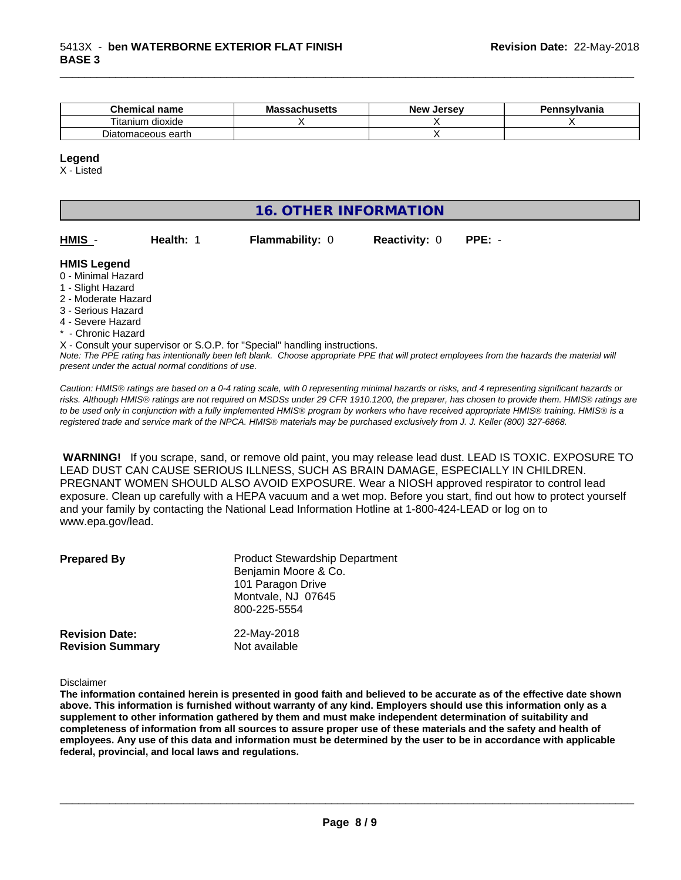| Chemical<br><b>name</b> | - -<br><b>Massachusetts</b> | . Jersev<br>New | Pennsvlvania |
|-------------------------|-----------------------------|-----------------|--------------|
| dioxide<br>l itanıum    |                             |                 |              |
| earth<br>Diatomaceous   |                             |                 |              |

#### **Legend**

X - Listed

## **16. OTHER INFORMATION**

| HMIS |  |
|------|--|
|------|--|

**Health: 1 Flammability: 0 Reactivity: 0 PPE: -**

\_\_\_\_\_\_\_\_\_\_\_\_\_\_\_\_\_\_\_\_\_\_\_\_\_\_\_\_\_\_\_\_\_\_\_\_\_\_\_\_\_\_\_\_\_\_\_\_\_\_\_\_\_\_\_\_\_\_\_\_\_\_\_\_\_\_\_\_\_\_\_\_\_\_\_\_\_\_\_\_\_\_\_\_\_\_\_\_\_\_\_\_\_

#### **HMIS Legend**

- 0 Minimal Hazard
- 1 Slight Hazard
- 2 Moderate Hazard
- 3 Serious Hazard
- 4 Severe Hazard
- \* Chronic Hazard

X - Consult your supervisor or S.O.P. for "Special" handling instructions.

*Note: The PPE rating has intentionally been left blank. Choose appropriate PPE that will protect employees from the hazards the material will present under the actual normal conditions of use.*

*Caution: HMISÒ ratings are based on a 0-4 rating scale, with 0 representing minimal hazards or risks, and 4 representing significant hazards or risks. Although HMISÒ ratings are not required on MSDSs under 29 CFR 1910.1200, the preparer, has chosen to provide them. HMISÒ ratings are to be used only in conjunction with a fully implemented HMISÒ program by workers who have received appropriate HMISÒ training. HMISÒ is a registered trade and service mark of the NPCA. HMISÒ materials may be purchased exclusively from J. J. Keller (800) 327-6868.*

 **WARNING!** If you scrape, sand, or remove old paint, you may release lead dust. LEAD IS TOXIC. EXPOSURE TO LEAD DUST CAN CAUSE SERIOUS ILLNESS, SUCH AS BRAIN DAMAGE, ESPECIALLY IN CHILDREN. PREGNANT WOMEN SHOULD ALSO AVOID EXPOSURE.Wear a NIOSH approved respirator to control lead exposure. Clean up carefully with a HEPA vacuum and a wet mop. Before you start, find out how to protect yourself and your family by contacting the National Lead Information Hotline at 1-800-424-LEAD or log on to www.epa.gov/lead.

| <b>Prepared By</b>      | <b>Product Stewardship Department</b><br>Benjamin Moore & Co.<br>101 Paragon Drive<br>Montvale, NJ 07645<br>800-225-5554 |
|-------------------------|--------------------------------------------------------------------------------------------------------------------------|
| <b>Revision Date:</b>   | 22-May-2018                                                                                                              |
| <b>Revision Summary</b> | Not available                                                                                                            |

Disclaimer

The information contained herein is presented in good faith and believed to be accurate as of the effective date shown above. This information is furnished without warranty of any kind. Employers should use this information only as a **supplement to other information gathered by them and must make independent determination of suitability and** completeness of information from all sources to assure proper use of these materials and the safety and health of employees. Any use of this data and information must be determined by the user to be in accordance with applicable **federal, provincial, and local laws and regulations.**